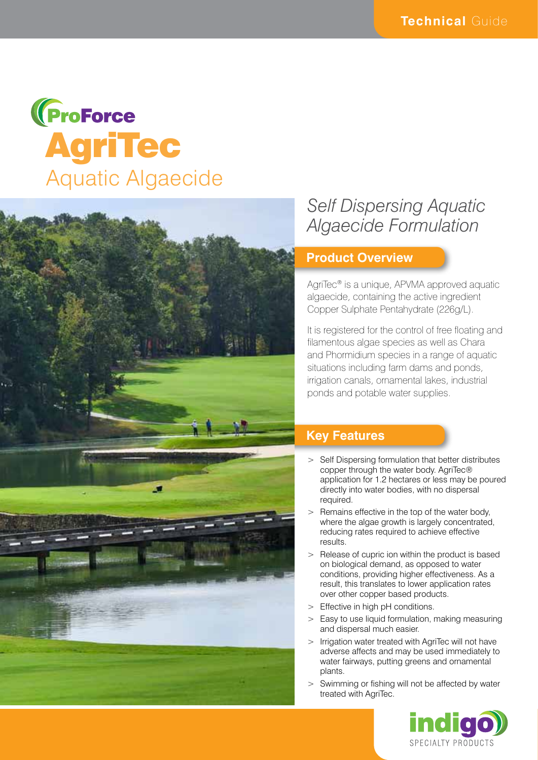# **(ProForce<br>AgriTec** Aquatic Algaecide



## *Self Dispersing Aquatic Algaecide Formulation*

#### **Product Overview**

AgriTec® is a unique, APVMA approved aquatic algaecide, containing the active ingredient Copper Sulphate Pentahydrate (226g/L).

It is registered for the control of free floating and filamentous algae species as well as Chara and Phormidium species in a range of aquatic situations including farm dams and ponds, irrigation canals, ornamental lakes, industrial ponds and potable water supplies.

### **Key Features**

- > Self Dispersing formulation that better distributes copper through the water body. AgriTec® application for 1.2 hectares or less may be poured directly into water bodies, with no dispersal required.
- Remains effective in the top of the water body, where the algae growth is largely concentrated, reducing rates required to achieve effective results.
- Release of cupric ion within the product is based on biological demand, as opposed to water conditions, providing higher effectiveness. As a result, this translates to lower application rates over other copper based products.
- > Effective in high pH conditions.
- > Easy to use liquid formulation, making measuring and dispersal much easier.
- > Irrigation water treated with AgriTec will not have adverse affects and may be used immediately to water fairways, putting greens and ornamental plants.
- > Swimming or fishing will not be affected by water treated with AgriTec.